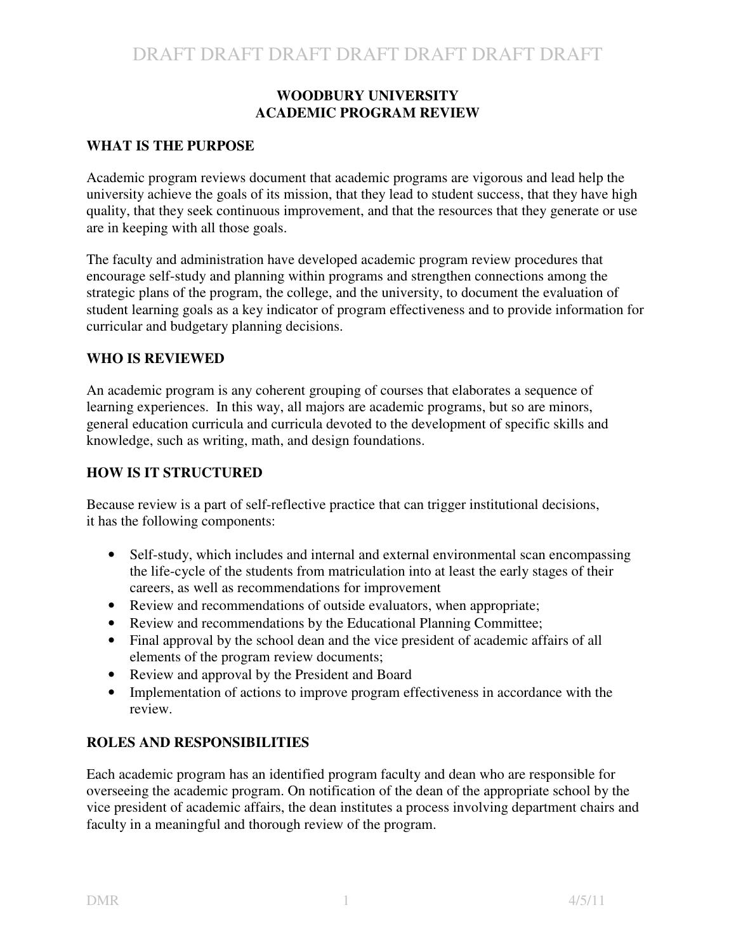#### **WOODBURY UNIVERSITY ACADEMIC PROGRAM REVIEW**

## **WHAT IS THE PURPOSE**

Academic program reviews document that academic programs are vigorous and lead help the university achieve the goals of its mission, that they lead to student success, that they have high quality, that they seek continuous improvement, and that the resources that they generate or use are in keeping with all those goals.

The faculty and administration have developed academic program review procedures that encourage self-study and planning within programs and strengthen connections among the strategic plans of the program, the college, and the university, to document the evaluation of student learning goals as a key indicator of program effectiveness and to provide information for curricular and budgetary planning decisions.

## **WHO IS REVIEWED**

An academic program is any coherent grouping of courses that elaborates a sequence of learning experiences. In this way, all majors are academic programs, but so are minors, general education curricula and curricula devoted to the development of specific skills and knowledge, such as writing, math, and design foundations.

#### **HOW IS IT STRUCTURED**

Because review is a part of self-reflective practice that can trigger institutional decisions, it has the following components:

- Self-study, which includes and internal and external environmental scan encompassing the life-cycle of the students from matriculation into at least the early stages of their careers, as well as recommendations for improvement
- Review and recommendations of outside evaluators, when appropriate;
- Review and recommendations by the Educational Planning Committee;
- Final approval by the school dean and the vice president of academic affairs of all elements of the program review documents;
- Review and approval by the President and Board
- Implementation of actions to improve program effectiveness in accordance with the review.

## **ROLES AND RESPONSIBILITIES**

Each academic program has an identified program faculty and dean who are responsible for overseeing the academic program. On notification of the dean of the appropriate school by the vice president of academic affairs, the dean institutes a process involving department chairs and faculty in a meaningful and thorough review of the program.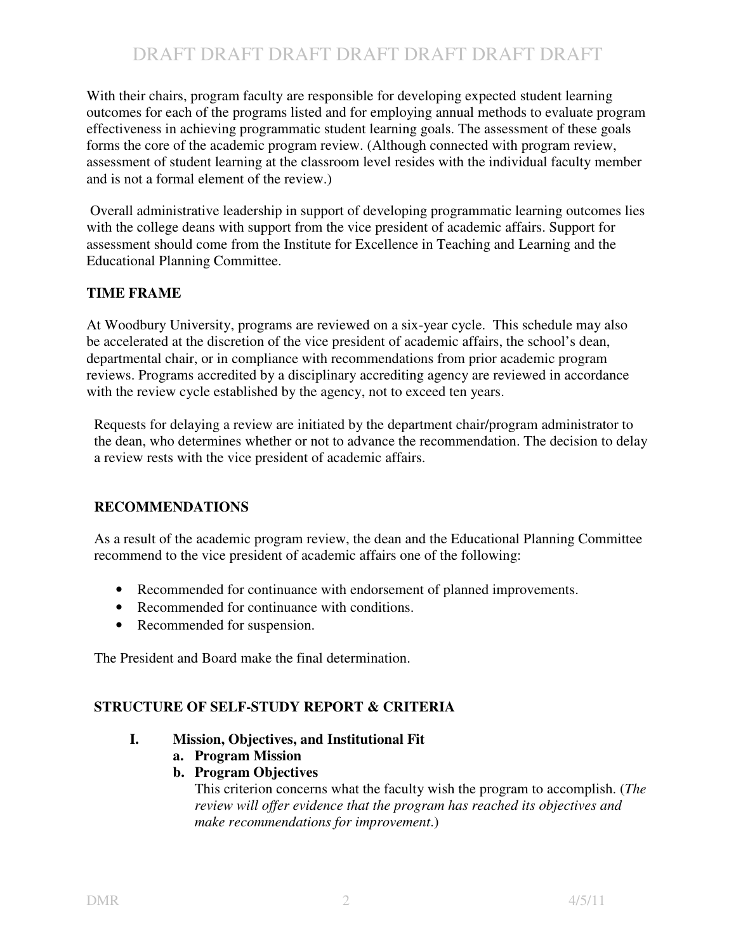# DRAFT DRAFT DRAFT DRAFT DRAFT DRAFT DRAFT

With their chairs, program faculty are responsible for developing expected student learning outcomes for each of the programs listed and for employing annual methods to evaluate program effectiveness in achieving programmatic student learning goals. The assessment of these goals forms the core of the academic program review. (Although connected with program review, assessment of student learning at the classroom level resides with the individual faculty member and is not a formal element of the review.)

Overall administrative leadership in support of developing programmatic learning outcomes lies with the college deans with support from the vice president of academic affairs. Support for assessment should come from the Institute for Excellence in Teaching and Learning and the Educational Planning Committee.

#### **TIME FRAME**

At Woodbury University, programs are reviewed on a six-year cycle. This schedule may also be accelerated at the discretion of the vice president of academic affairs, the school's dean, departmental chair, or in compliance with recommendations from prior academic program reviews. Programs accredited by a disciplinary accrediting agency are reviewed in accordance with the review cycle established by the agency, not to exceed ten years.

Requests for delaying a review are initiated by the department chair/program administrator to the dean, who determines whether or not to advance the recommendation. The decision to delay a review rests with the vice president of academic affairs.

#### **RECOMMENDATIONS**

As a result of the academic program review, the dean and the Educational Planning Committee recommend to the vice president of academic affairs one of the following:

- Recommended for continuance with endorsement of planned improvements.
- Recommended for continuance with conditions.
- Recommended for suspension.

The President and Board make the final determination.

#### **STRUCTURE OF SELF-STUDY REPORT & CRITERIA**

#### **I. Mission, Objectives, and Institutional Fit**

- **a. Program Mission**
- **b. Program Objectives**

This criterion concerns what the faculty wish the program to accomplish. (*The review will offer evidence that the program has reached its objectives and make recommendations for improvement*.)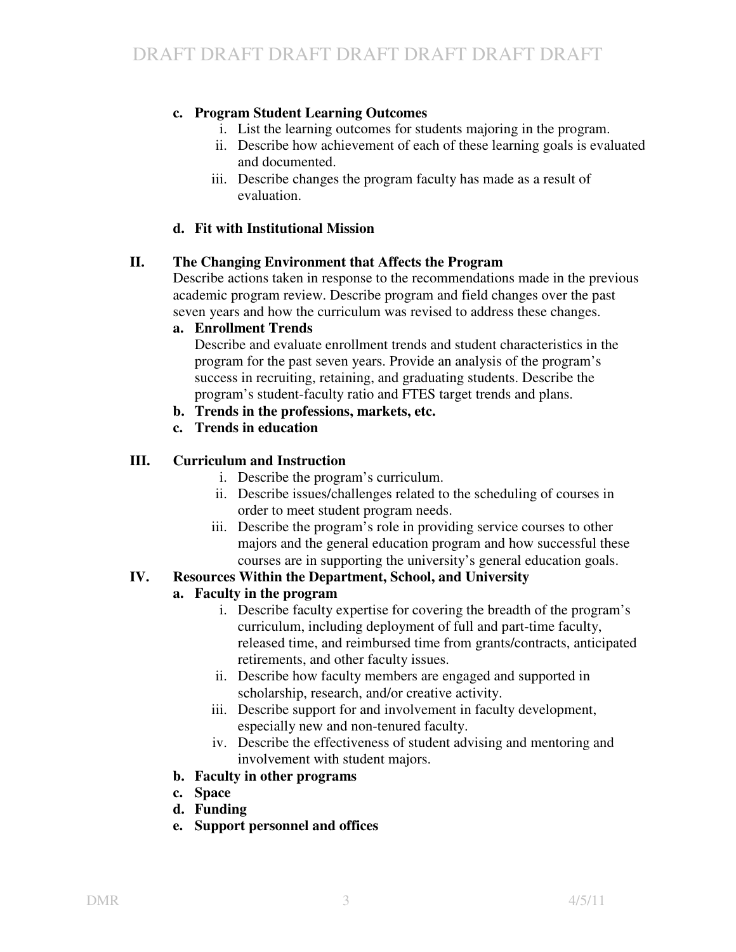## **c. Program Student Learning Outcomes**

- i. List the learning outcomes for students majoring in the program.
- ii. Describe how achievement of each of these learning goals is evaluated and documented.
- iii. Describe changes the program faculty has made as a result of evaluation.

## **d. Fit with Institutional Mission**

## **II. The Changing Environment that Affects the Program**

Describe actions taken in response to the recommendations made in the previous academic program review. Describe program and field changes over the past seven years and how the curriculum was revised to address these changes.

#### **a. Enrollment Trends**

Describe and evaluate enrollment trends and student characteristics in the program for the past seven years. Provide an analysis of the program's success in recruiting, retaining, and graduating students. Describe the program's student-faculty ratio and FTES target trends and plans.

- **b. Trends in the professions, markets, etc.**
- **c. Trends in education**

## **III. Curriculum and Instruction**

- i. Describe the program's curriculum.
- ii. Describe issues/challenges related to the scheduling of courses in order to meet student program needs.
- iii. Describe the program's role in providing service courses to other majors and the general education program and how successful these courses are in supporting the university's general education goals.

## **IV. Resources Within the Department, School, and University**

## **a. Faculty in the program**

- i. Describe faculty expertise for covering the breadth of the program's curriculum, including deployment of full and part-time faculty, released time, and reimbursed time from grants/contracts, anticipated retirements, and other faculty issues.
- ii. Describe how faculty members are engaged and supported in scholarship, research, and/or creative activity.
- iii. Describe support for and involvement in faculty development, especially new and non-tenured faculty.
- iv. Describe the effectiveness of student advising and mentoring and involvement with student majors.

## **b. Faculty in other programs**

- **c. Space**
- **d. Funding**
- **e. Support personnel and offices**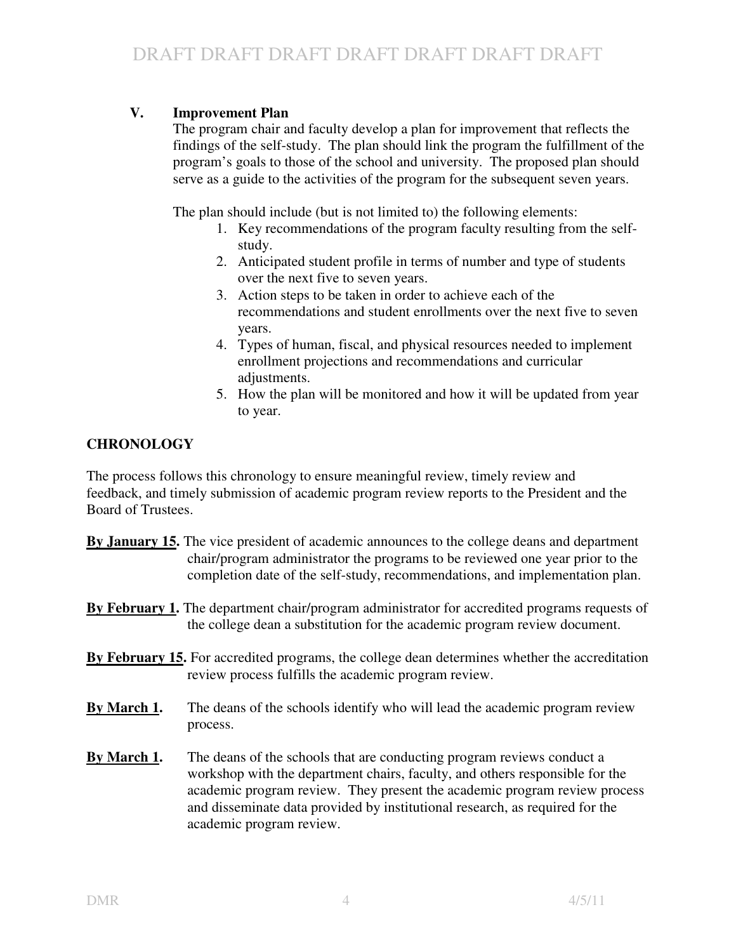# **V. Improvement Plan**

The program chair and faculty develop a plan for improvement that reflects the findings of the self-study. The plan should link the program the fulfillment of the program's goals to those of the school and university. The proposed plan should serve as a guide to the activities of the program for the subsequent seven years.

The plan should include (but is not limited to) the following elements:

- 1. Key recommendations of the program faculty resulting from the selfstudy.
- 2. Anticipated student profile in terms of number and type of students over the next five to seven years.
- 3. Action steps to be taken in order to achieve each of the recommendations and student enrollments over the next five to seven years.
- 4. Types of human, fiscal, and physical resources needed to implement enrollment projections and recommendations and curricular adjustments.
- 5. How the plan will be monitored and how it will be updated from year to year.

# **CHRONOLOGY**

The process follows this chronology to ensure meaningful review, timely review and feedback, and timely submission of academic program review reports to the President and the Board of Trustees.

- **By January 15.** The vice president of academic announces to the college deans and department chair/program administrator the programs to be reviewed one year prior to the completion date of the self-study, recommendations, and implementation plan.
- **By February 1.** The department chair/program administrator for accredited programs requests of the college dean a substitution for the academic program review document.
- **By February 15.** For accredited programs, the college dean determines whether the accreditation review process fulfills the academic program review.
- **By March 1.** The deans of the schools identify who will lead the academic program review process.
- **By March 1.** The deans of the schools that are conducting program reviews conduct a workshop with the department chairs, faculty, and others responsible for the academic program review. They present the academic program review process and disseminate data provided by institutional research, as required for the academic program review.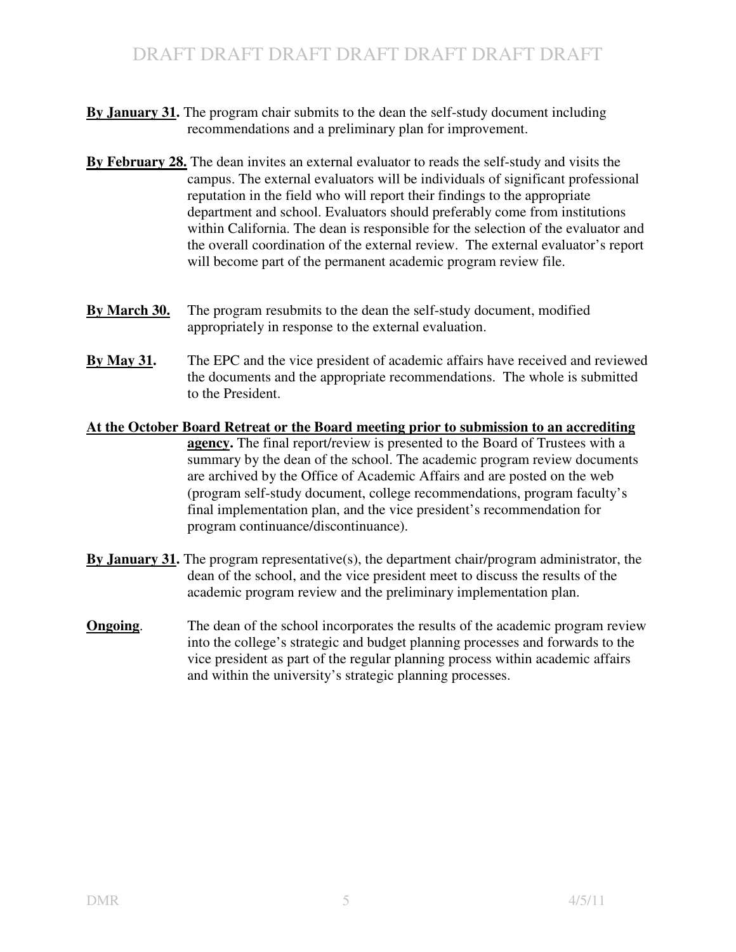- **By January 31.** The program chair submits to the dean the self-study document including recommendations and a preliminary plan for improvement.
- **By February 28.** The dean invites an external evaluator to reads the self-study and visits the campus. The external evaluators will be individuals of significant professional reputation in the field who will report their findings to the appropriate department and school. Evaluators should preferably come from institutions within California. The dean is responsible for the selection of the evaluator and the overall coordination of the external review. The external evaluator's report will become part of the permanent academic program review file.
- **By March 30.** The program resubmits to the dean the self-study document, modified appropriately in response to the external evaluation.
- **By May 31.** The EPC and the vice president of academic affairs have received and reviewed the documents and the appropriate recommendations. The whole is submitted to the President.
- **At the October Board Retreat or the Board meeting prior to submission to an accrediting agency.** The final report/review is presented to the Board of Trustees with a summary by the dean of the school. The academic program review documents are archived by the Office of Academic Affairs and are posted on the web (program self-study document, college recommendations, program faculty's final implementation plan, and the vice president's recommendation for program continuance/discontinuance).
- **By January 31.** The program representative(s), the department chair/program administrator, the dean of the school, and the vice president meet to discuss the results of the academic program review and the preliminary implementation plan.
- **Ongoing.** The dean of the school incorporates the results of the academic program review into the college's strategic and budget planning processes and forwards to the vice president as part of the regular planning process within academic affairs and within the university's strategic planning processes.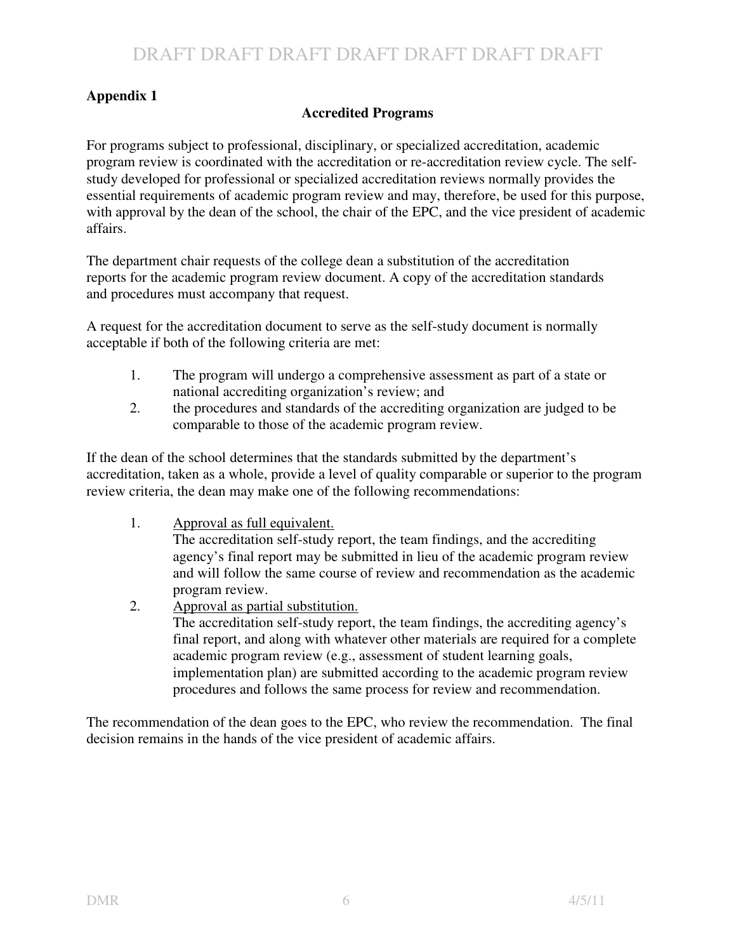# **Appendix 1**

# **Accredited Programs**

For programs subject to professional, disciplinary, or specialized accreditation, academic program review is coordinated with the accreditation or re-accreditation review cycle. The selfstudy developed for professional or specialized accreditation reviews normally provides the essential requirements of academic program review and may, therefore, be used for this purpose, with approval by the dean of the school, the chair of the EPC, and the vice president of academic affairs.

The department chair requests of the college dean a substitution of the accreditation reports for the academic program review document. A copy of the accreditation standards and procedures must accompany that request.

A request for the accreditation document to serve as the self-study document is normally acceptable if both of the following criteria are met:

- 1. The program will undergo a comprehensive assessment as part of a state or national accrediting organization's review; and
- 2. the procedures and standards of the accrediting organization are judged to be comparable to those of the academic program review.

If the dean of the school determines that the standards submitted by the department's accreditation, taken as a whole, provide a level of quality comparable or superior to the program review criteria, the dean may make one of the following recommendations:

1. Approval as full equivalent.

The accreditation self-study report, the team findings, and the accrediting agency's final report may be submitted in lieu of the academic program review and will follow the same course of review and recommendation as the academic program review.

2. Approval as partial substitution.

The accreditation self-study report, the team findings, the accrediting agency's final report, and along with whatever other materials are required for a complete academic program review (e.g., assessment of student learning goals, implementation plan) are submitted according to the academic program review procedures and follows the same process for review and recommendation.

The recommendation of the dean goes to the EPC, who review the recommendation. The final decision remains in the hands of the vice president of academic affairs.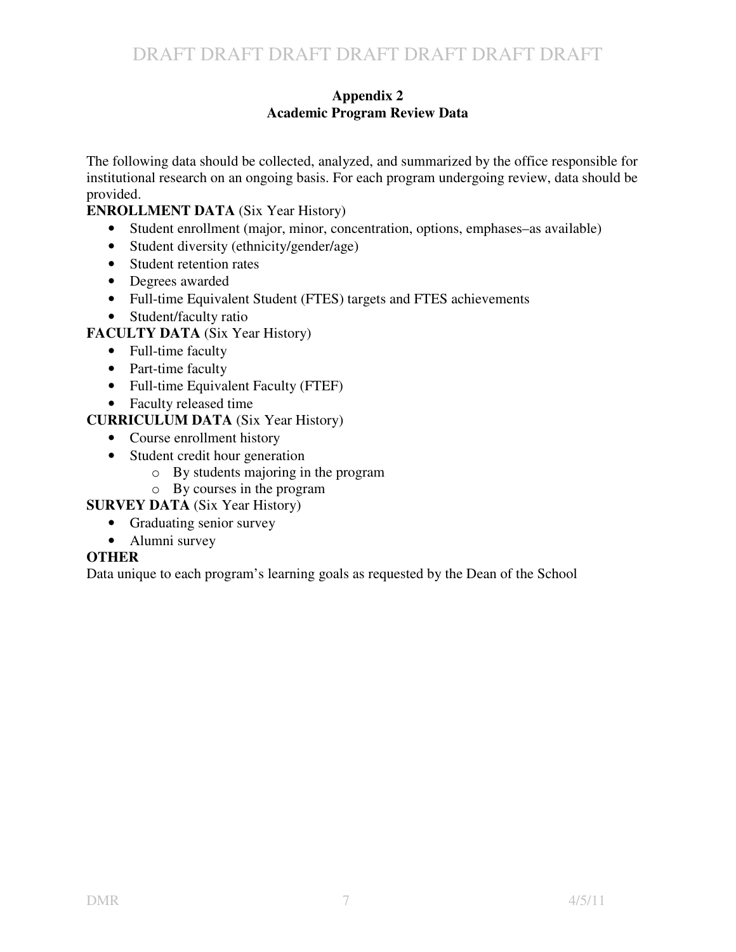#### **Appendix 2 Academic Program Review Data**

The following data should be collected, analyzed, and summarized by the office responsible for institutional research on an ongoing basis. For each program undergoing review, data should be provided.

## **ENROLLMENT DATA** (Six Year History)

- Student enrollment (major, minor, concentration, options, emphases–as available)
- Student diversity (ethnicity/gender/age)
- Student retention rates
- Degrees awarded
- Full-time Equivalent Student (FTES) targets and FTES achievements
- Student/faculty ratio

# **FACULTY DATA** (Six Year History)

- Full-time faculty
- Part-time faculty
- Full-time Equivalent Faculty (FTEF)
- Faculty released time

# **CURRICULUM DATA** (Six Year History)

- Course enrollment history
- Student credit hour generation
	- o By students majoring in the program
		- o By courses in the program

**SURVEY DATA** (Six Year History)

- Graduating senior survey
- Alumni survey

# **OTHER**

Data unique to each program's learning goals as requested by the Dean of the School